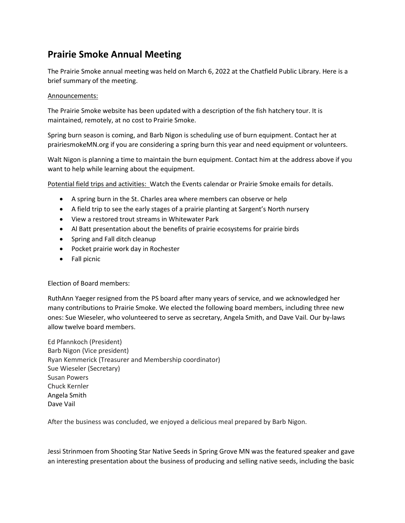## Prairie Smoke Annual Meeting

The Prairie Smoke annual meeting was held on March 6, 2022 at the Chatfield Public Library. Here is a brief summary of the meeting.

#### Announcements:

The Prairie Smoke website has been updated with a description of the fish hatchery tour. It is maintained, remotely, at no cost to Prairie Smoke.

Spring burn season is coming, and Barb Nigon is scheduling use of burn equipment. Contact her at prairiesmokeMN.org if you are considering a spring burn this year and need equipment or volunteers.

Walt Nigon is planning a time to maintain the burn equipment. Contact him at the address above if you want to help while learning about the equipment.

Potential field trips and activities: Watch the Events calendar or Prairie Smoke emails for details.

- A spring burn in the St. Charles area where members can observe or help
- A field trip to see the early stages of a prairie planting at Sargent's North nursery
- View a restored trout streams in Whitewater Park
- Al Batt presentation about the benefits of prairie ecosystems for prairie birds
- Spring and Fall ditch cleanup
- Pocket prairie work day in Rochester
- Fall picnic

Election of Board members:

RuthAnn Yaeger resigned from the PS board after many years of service, and we acknowledged her many contributions to Prairie Smoke. We elected the following board members, including three new ones: Sue Wieseler, who volunteered to serve as secretary, Angela Smith, and Dave Vail. Our by-laws allow twelve board members.

Ed Pfannkoch (President) Barb Nigon (Vice president) Ryan Kemmerick (Treasurer and Membership coordinator) Sue Wieseler (Secretary) Susan Powers Chuck Kernler Angela Smith Dave Vail

After the business was concluded, we enjoyed a delicious meal prepared by Barb Nigon.

Jessi Strinmoen from Shooting Star Native Seeds in Spring Grove MN was the featured speaker and gave an interesting presentation about the business of producing and selling native seeds, including the basic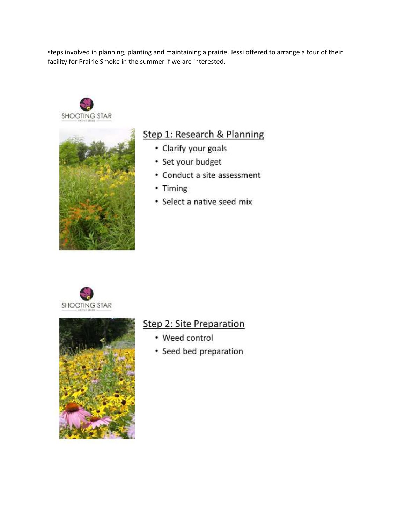steps involved in planning, planting and maintaining a prairie. Jessi offered to arrange a tour of their facility for Prairie Smoke in the summer if we are interested.





## Step 1: Research & Planning

- Clarify your goals
- Set your budget
- Conduct a site assessment
- Timing
- · Select a native seed mix





# Step 2: Site Preparation

- Weed control
- Seed bed preparation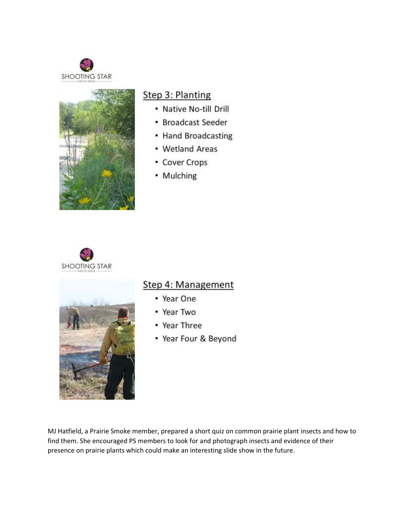



#### Step 3: Planting

- Native No-till Drill
- Broadcast Seeder
- Hand Broadcasting
- Wetland Areas
- Cover Crops
- Mulching





# Step 4: Management

- Year One
- Year Two
- Year Three
- Year Four & Beyond

MJ Hatfield, a Prairie Smoke member, prepared a short quiz on common prairie plant insects and how to find them. She encouraged PS members to look for and photograph insects and evidence of their presence on prairie plants which could make an interesting slide show in the future.